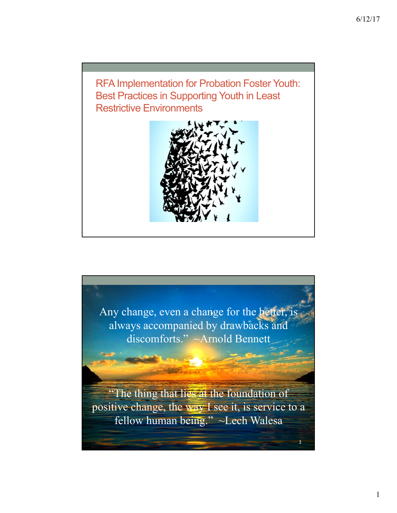RFA Implementation for Probation Foster Youth: Best Practices in Supporting Youth in Least Restrictive Environments



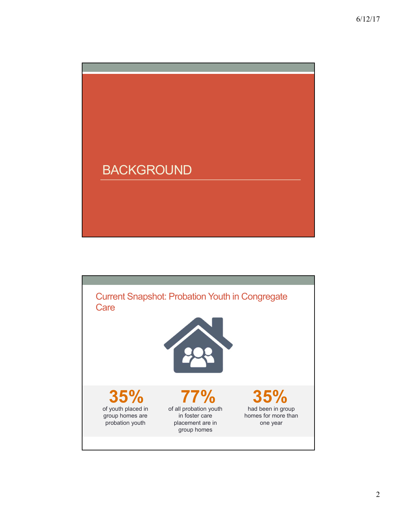

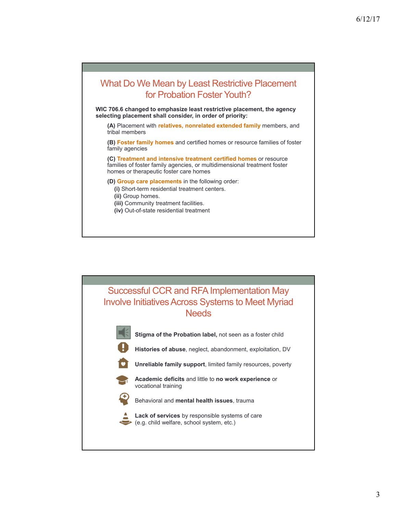

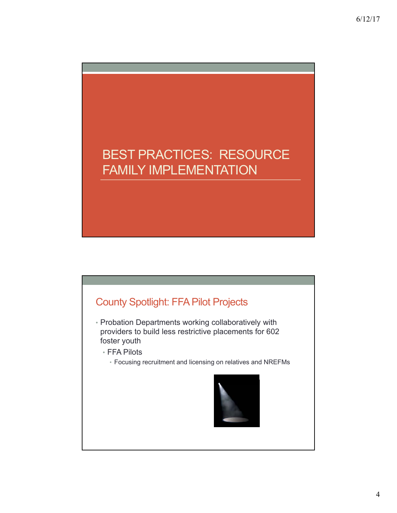# BEST PRACTICES: RESOURCE FAMILY IMPLEMENTATION

## County Spotlight: FFA Pilot Projects

- Probation Departments working collaboratively with providers to build less restrictive placements for 602 foster youth
	- FFA Pilots
		- Focusing recruitment and licensing on relatives and NREFMs

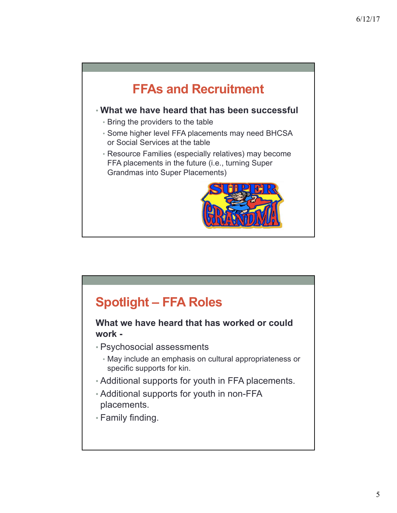

# **Spotlight – FFA Roles**

#### **What we have heard that has worked or could work -**

- Psychosocial assessments
	- May include an emphasis on cultural appropriateness or specific supports for kin.
- Additional supports for youth in FFA placements.
- Additional supports for youth in non-FFA placements.
- Family finding.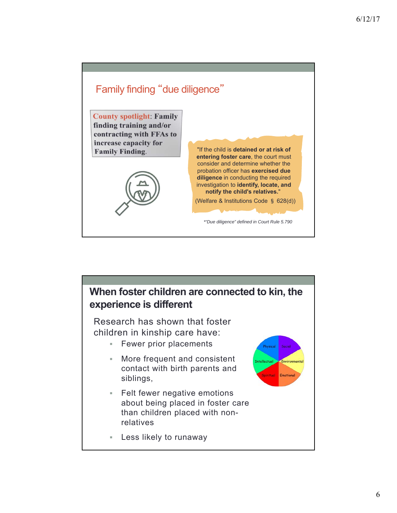

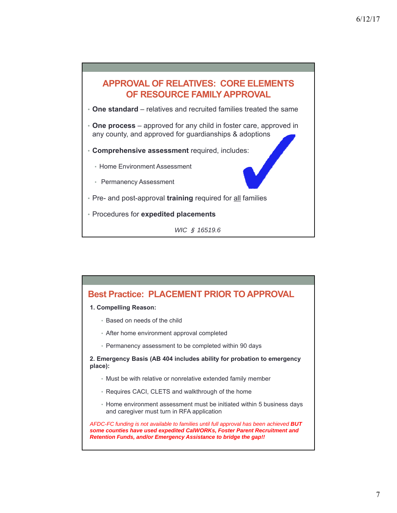

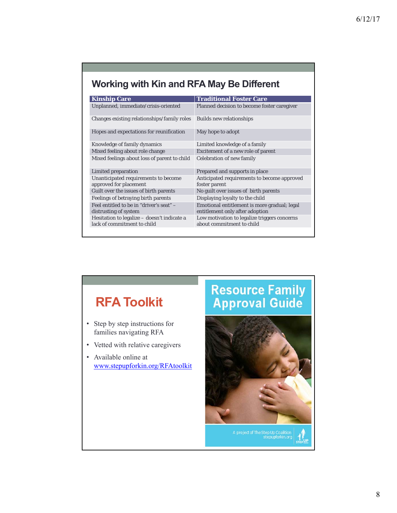## **Working with Kin and RFA May Be Different**

| <b>Kinship Care</b>                                                        | <b>Traditional Foster Care</b>                                                  |
|----------------------------------------------------------------------------|---------------------------------------------------------------------------------|
| Unplanned, immediate/crisis-oriented                                       | Planned decision to become foster caregiver                                     |
| Changes existing relationships/family roles                                | <b>Builds new relationships</b>                                                 |
| Hopes and expectations for reunification                                   | May hope to adopt                                                               |
| Knowledge of family dynamics                                               | Limited knowledge of a family                                                   |
| Mixed feeling about role change                                            | Excitement of a new role of parent                                              |
| Mixed feelings about loss of parent to child                               | Celebration of new family                                                       |
| Limited preparation                                                        | Prepared and supports in place                                                  |
| Unanticipated requirements to become<br>approved for placement             | Anticipated requirements to become approved<br>foster parent                    |
| Guilt over the issues of birth parents                                     | No guilt over issues of birth parents                                           |
| Feelings of betraying birth parents                                        | Displaying loyalty to the child                                                 |
| Feel entitled to be in "driver's seat" -<br>distrusting of system          | Emotional entitlement is more gradual; legal<br>entitlement only after adoption |
| Hesitation to legalize – doesn't indicate a<br>lack of commitment to child | Low motivation to legalize triggers concerns<br>about commitment to child       |
|                                                                            |                                                                                 |



- Step by step instructions for families navigating RFA
- Vetted with relative caregivers
- Available online at www.stepupforkin.org/RFAtoolkit

# **Resource Family<br>Approval Guide**



A project of The Step Up Coalition<br>stepupforkin.org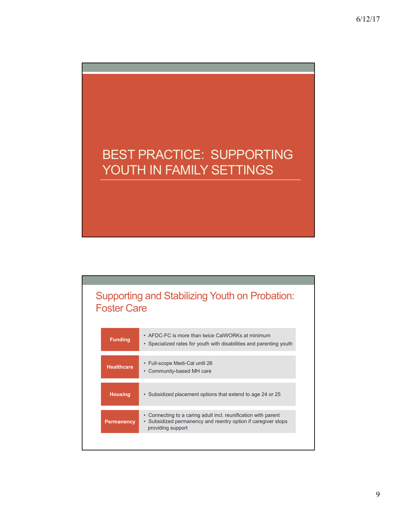## BEST PRACTICE: SUPPORTING YOUTH IN FAMILY SETTINGS

#### Supporting and Stabilizing Youth on Probation: Foster Care

| <b>Funding</b>    | • AFDC-FC is more than twice CalWORKs at minimum<br>• Specialized rates for youth with disabilities and parenting youth                              |
|-------------------|------------------------------------------------------------------------------------------------------------------------------------------------------|
| <b>Healthcare</b> | • Full-scope Medi-Cal until 26<br>• Community-based MH care                                                                                          |
| <b>Housing</b>    | • Subsidized placement options that extend to age 24 or 25                                                                                           |
| <b>Permanency</b> | • Connecting to a caring adult incl. reunification with parent<br>• Subsidized permanency and reentry option if caregiver stops<br>providing support |
|                   |                                                                                                                                                      |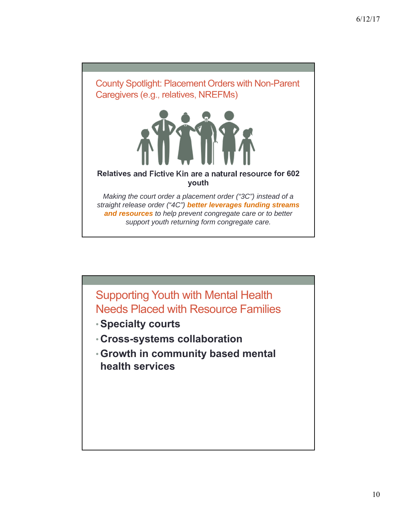

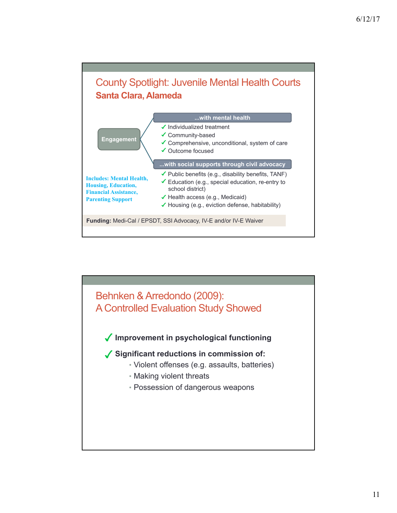

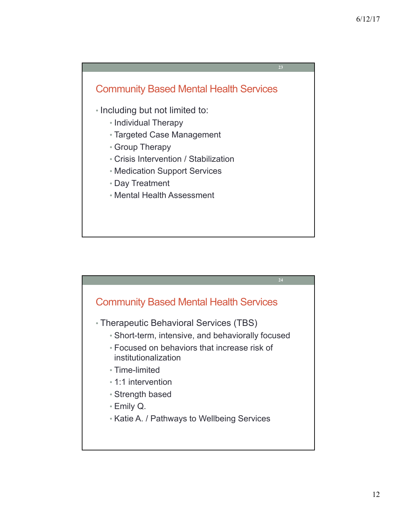

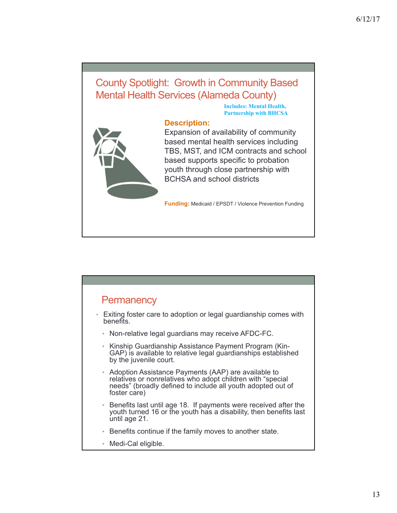#### County Spotlight: Growth in Community Based Mental Health Services (Alameda County)

**Includes: Mental Health, Partnership with BHCSA**



#### **Description:**

Expansion of availability of community based mental health services including TBS, MST, and ICM contracts and school based supports specific to probation youth through close partnership with BCHSA and school districts

**Funding:** Medicaid / EPSDT / Violence Prevention Funding

#### **Permanency**

- Exiting foster care to adoption or legal guardianship comes with benefits.
	- Non-relative legal guardians may receive AFDC-FC.
	- Kinship Guardianship Assistance Payment Program (Kin-GAP) is available to relative legal guardianships established by the juvenile court.
	- Adoption Assistance Payments (AAP) are available to relatives or nonrelatives who adopt children with "special needs" (broadly defined to include all youth adopted out of foster care)
	- Benefits last until age 18. If payments were received after the youth turned 16 or the youth has a disability, then benefits last until age 21.
	- Benefits continue if the family moves to another state.
	- Medi-Cal eligible.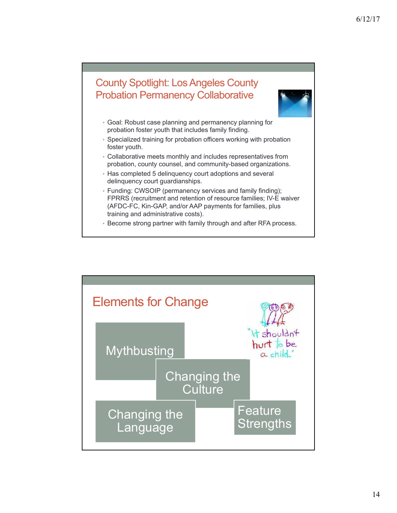#### County Spotlight: Los Angeles County Probation Permanency Collaborative



- Goal: Robust case planning and permanency planning for probation foster youth that includes family finding.
- Specialized training for probation officers working with probation foster youth.
- Collaborative meets monthly and includes representatives from probation, county counsel, and community-based organizations.
- Has completed 5 delinquency court adoptions and several delinquency court guardianships.
- Funding: CWSOIP (permanency services and family finding); FPRRS (recruitment and retention of resource families; IV-E waiver (AFDC-FC, Kin-GAP, and/or AAP payments for families, plus training and administrative costs).
- Become strong partner with family through and after RFA process.

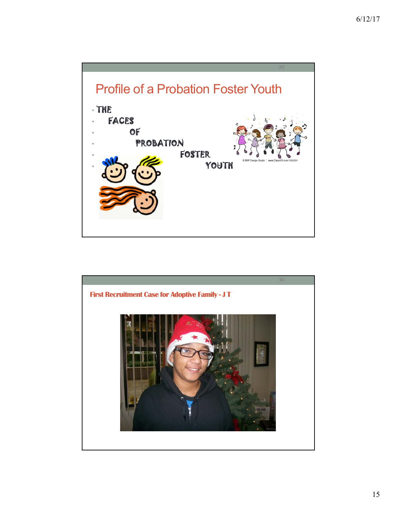

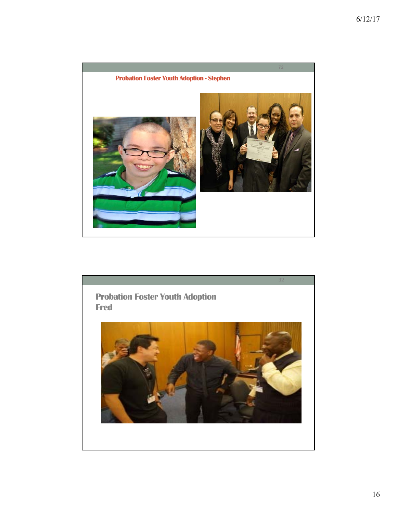

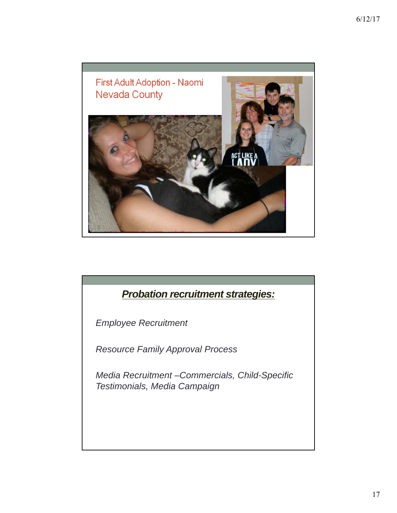

## *Probation recruitment strategies:*

*Employee Recruitment*

*Resource Family Approval Process*

*Media Recruitment –Commercials, Child-Specific Testimonials, Media Campaign*